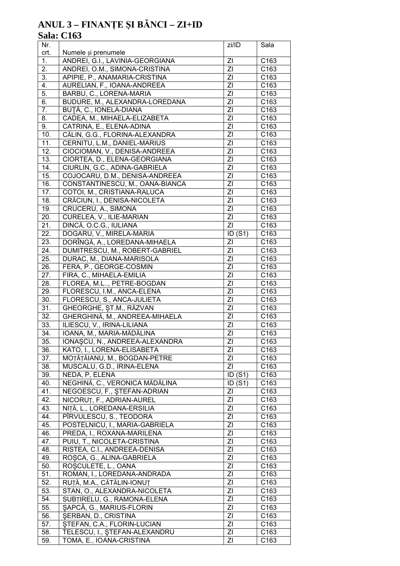# ANUL 3 – FINANȚE ȘI BĂNCI – ZI+ID<br>Sala: C163

| Nr.               |                                                                | zi/ID                            | Sala             |
|-------------------|----------------------------------------------------------------|----------------------------------|------------------|
| crt.              | Numele și prenumele                                            |                                  |                  |
| 1.                | ANDREI, G.I., LAVINIA-GEORGIANA                                | ΖI                               | C163             |
| 2.                | ANDREI, O.M., SIMONA-CRISTINA                                  | ΖI                               | C163             |
| 3.                | APIPIE, P., ANAMARIA-CRISTINA                                  | ΖI                               | C163             |
| 4.                | AURELIAN, F., IOANA-ANDREEA                                    | ΖI                               | C <sub>163</sub> |
| $\overline{5}$ .  | BARBU, C., LORENA-MARIA                                        | ZI                               | C163             |
| 6.                | BUDURE, M., ALEXANDRA-LOREDANA                                 | ΖI                               | C163             |
| 7.                | BUTĂ, C., IONELA-DIANA                                         | ZI                               | C163             |
| 8.                | CADEA, M., MIHAELA-ELIZABETA                                   | ZI                               | C163             |
| 9.                | CATRINA, E., ELENA-ADINA                                       | ZI                               | C163             |
| 10.               | CĂLIN, G.G., FLORINA-ALEXANDRA                                 | ZI                               | C163             |
| 11.               | CERNITU, L.M., DANIEL-MARIUS                                   | ΖI                               | C163             |
| $\overline{12}$ . | CIOCIOMAN, V., DENISA-ANDREEA                                  | $\overline{Z}$<br>$\overline{Z}$ | C163             |
| 13.               | CIORTEA, D., ELENA-GEORGIANA                                   |                                  | C163             |
| 14.               | CIURLIN, G.C., ADINA-GABRIELA                                  | ZI<br>ZI                         | C163             |
| 15.               | COJOCARU, D.M., DENISA-ANDREEA                                 | $\overline{Z}$                   | C163<br>C163     |
| 16.               | CONSTANTINESCU, M., OANA-BIANCA<br>COTOI, M., CRISTIANA-RALUCA | ΖI                               | C163             |
| 17.               |                                                                | $\overline{Z}$                   |                  |
| 18.               | CRĂCIUN, I., DENISA-NICOLETA                                   |                                  | C163             |
| 19.               | CRUCERU, A., SIMONA                                            | ΖI                               | C163             |
| 20.               | CURELEA, V., ILIE-MARIAN                                       | ΖI<br>ΖI                         | C163             |
| 21.               | DINCĂ, O.C.G., IULIANA                                         |                                  | C <sub>163</sub> |
| 22.               | DOGARU, V., MIRELA-MARIA                                       | ID(S1)<br>ΖI                     | C163             |
| 23.               | DORÎNGĂ, A., LOREDANA-MIHAELA                                  |                                  | C <sub>163</sub> |
| 24.               | DUMITRESCU, M., ROBERT-GABRIEL                                 | ΖI                               | C163             |
| 25.               | DURAC, M., DIANA-MARISOLA                                      | ΖI                               | C <sub>163</sub> |
| 26.<br>27.        | FERA, P., GEORGE-COSMIN                                        | ΖI<br>ΖI                         | C163<br>C163     |
| 28.               | FIRA, C., MIHAELA-EMILIA<br>FLOREA, M.L, PETRE-BOGDAN          | ZI                               | C163             |
| 29.               | FLORESCU, I.M., ANCA-ELENA                                     | ΖI                               | C163             |
| 30.               | FLORESCU, S., ANCA-JULIETA                                     | ZI                               | C163             |
| 31.               | GHEORGHE, ST.M., RĂZVAN                                        | ZI                               | C163             |
| 32.               | GHERGHINĂ, M., ANDREEA-MIHAELA                                 | ΖI                               | C163             |
| 33.               | ILIESCU, V., IRINA-LILIANA                                     | ZI                               | C163             |
| 34.               | IOANA, M., MARIA-MĂDĂLINA                                      | ZI                               | C163             |
| 35.               | IONAȘCU, N., ANDREEA-ALEXANDRA                                 | $\overline{Z}$                   | C163             |
| 36.               | KATO, I., LORENA-ELISABETA                                     | ΖI                               | C <sub>163</sub> |
| 37.               | MOȚĂȚĂIANU, M., BOGDAN-PETRE                                   | ΖI                               | C <sub>163</sub> |
| 38.               | MUSCALU, G.D., IRINA-ELENA                                     | ΖI                               | C163             |
| 39.               | NEDA, P, ELENA                                                 | ID(S1)                           | C <sub>163</sub> |
| 40.               | NEGHINĂ, C., VERONICA MĂDĂLINA                                 | ID(S1)                           | C <sub>163</sub> |
| 41.               | NEGOESCU, F., ȘTEFAN-ADRIAN                                    | ΖI                               | C <sub>163</sub> |
| 42.               | NICORUT, F., ADRIAN-AUREL                                      | ΖI                               | C <sub>163</sub> |
| 43.               | NIȚĂ, L., LOREDANA-ERSILIA                                     | ΖI                               | C163             |
| 44.               | PÎRVULESCU, S., TEODORA                                        | ΖI                               | C163             |
| 45.               | POSTELNICU, I., MARIA-GABRIELA                                 | ZI                               | C163             |
| 46.               | PREDA, I., ROXANA-MARILENA                                     | ZI                               | C <sub>163</sub> |
| 47.               | PUIU, T., NICOLETA-CRISTINA                                    | ΖI                               | C163             |
| 48.               | RISTEA, C.I., ANDREEA-DENISA                                   | ΖI                               | C <sub>163</sub> |
| 49.               | ROȘCA, G., ALINA-GABRIELA                                      | ZI                               | C163             |
| 50.               | ROȘCULETE, L., OANA                                            | ZI                               | C163             |
| 51.               | ROMAN, I., LOREDANA-ANDRADA                                    | ZI                               | C163             |
| 52.               | RUȚĂ, M.A., CĂTĂLIN-IONUȚ                                      | ΖI                               | C <sub>163</sub> |
| 53.               | STAN, O., ALEXANDRA-NICOLETA                                   | ΖI                               | C <sub>163</sub> |
| 54.               | SUBTIRELU, G., RAMONA-ELENA                                    | ΖI                               | C163             |
| 55.               | SAPCĂ, G., MARIUS-FLORIN                                       | ΖI                               | C163             |
| 56.               | SERBAN, D., CRISTINA                                           | ΖI                               | C <sub>163</sub> |
| 57.               | STEFAN, C.A., FLORIN-LUCIAN                                    | ΖI                               | C <sub>163</sub> |
| 58.               | TELESCU, I., ȘTEFAN-ALEXANDRU                                  | ΖI                               | C <sub>163</sub> |
| 59.               | TOMA, E., IOANA-CRISTINA                                       | ΖI                               | C163             |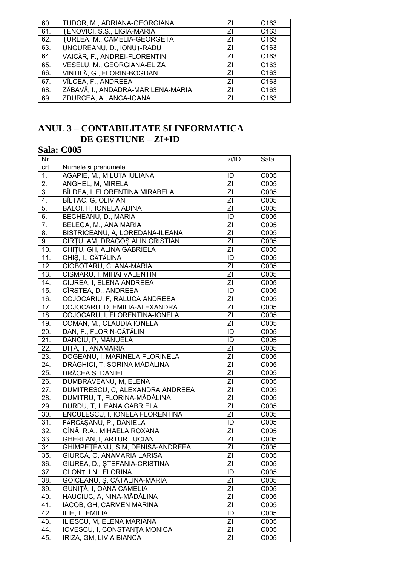| 60. | TUDOR, M., ADRIANA-GEORGIANA       | 71 | C <sub>163</sub> |
|-----|------------------------------------|----|------------------|
| 61. | TENOVICI, S.S., LIGIA-MARIA        | ΖI | C <sub>163</sub> |
| 62. | TURLEA, M., CAMELIA-GEORGETA       | ΖI | C <sub>163</sub> |
| 63. | UNGUREANU, D., IONUȚ-RADU          | ΖI | C <sub>163</sub> |
| 64. | VAICĂR, F., ANDREI-FLORENTIN       | ΖI | C <sub>163</sub> |
| 65. | VESELU, M., GEORGIANA-ELIZA        | 71 | C <sub>163</sub> |
| 66. | VINTILĂ, G., FLORIN-BOGDAN         | 71 | C <sub>163</sub> |
| 67. | VÎLCEA, F., ANDREEA                | ΖI | C <sub>163</sub> |
| 68. | ZĂBAVĂ, I., ANDADRA-MARILENA-MARIA | ΖI | C <sub>163</sub> |
| 69. | ZDURCEA, A., ANCA-IOANA            | 71 | C <sub>163</sub> |
|     |                                    |    |                  |

# **ANUL 3 - CONTABILITATE SI INFORMATICA** DE GESTIUNE - ZI+ID

# **Sala: C005**

| Nr.               |                                     | zi/ID          | Sala |
|-------------------|-------------------------------------|----------------|------|
| crt.              | Numele și prenumele                 |                |      |
| 1.                | AGAPIE, M., MILUȚA IULIANA          | ID             | C005 |
| 2.                | ANGHEL, M, MIRELA                   | ZI             | C005 |
| $\overline{3}$ .  | BÎLDEA, I, FLORENTINA MIRABELA      | ZI             | C005 |
| $\overline{4}$ .  | BÎLTAC, G, OLIVIAN                  | ZI             | C005 |
| $\overline{5}$ .  | BĂLOI, H, IONELA ADINA              | ΖI             | C005 |
| 6.                | BECHEANU, D., MARIA                 | ID             | C005 |
| 7.                | BELEGA, M., ANA MARIA               | ZI             | C005 |
| 8.                | BISTRICEANU, A, LOREDANA-ILEANA     | ZI             | C005 |
| 9.                | CÎRȚU, AM, DRAGOȘ ALIN CRISTIAN     | ZI             | C005 |
| 10.               | CHITU, GH, ALINA GABRIELA           | ZI             | C005 |
| 11.               | CHIȘ, I., CĂTĂLINA                  | ID             | C005 |
| $\overline{12}$ . | CIOBOTARU, C, ANA-MARIA             | ZI             | C005 |
| 13.               | CISMARU, I, MIHAI VALENTIN          | ZI             | C005 |
| 14.               | CIUREA, I, ELENA ANDREEA            | ZI             | C005 |
| 15.               | CÎRSTEA, D., ANDREEA                | ID             | C005 |
| 16.               | COJOCARIU, F, RALUCA ANDREEA        | ZI             | C005 |
| 17.               | COJOCARU, D, EMILIA-ALEXANDRA       | ZI             | C005 |
| 18.               | COJOCARU, I, FLORENTINA-IONELA      | ΖI             | C005 |
| 19.               | COMAN, M., CLAUDIA IONELA           | ΖI             | C005 |
| 20.               | DAN, F., FLORIN-CĂTĂLIN             | ID             | C005 |
| 21.               | DANCIU, P, MANUELA                  | ID             | C005 |
| 22.               | DIȚĂ, T, ANAMARIA                   | ZI             | C005 |
| 23.               | DOGEANU, I, MARINELA FLORINELA      | ZI             | C005 |
| 24.               | DRĂGHICI, T, SORINA MĂDĂLINA        | ZI             | C005 |
| 25.               | DRĂCEA S. DANIEL                    | ZI             | C005 |
| 26.               | DUMBRĂVEANU, M, ELENA               | ZI             | C005 |
| 27.               | DUMITRESCU, C, ALEXANDRA ANDREEA    | ΖI             | C005 |
| 28.               | DUMITRU, T, FLORINA-MĂDĂLINA        | ZI             | C005 |
| 29.               | DURDU, T, ILEANA GABRIELA           | ZI             | C005 |
| 30.               | ENCULESCU, I, IONELA FLORENTINA     | ΖI             | C005 |
| 31.               | FĂRCĂȘANU, P., DANIELA              | ID             | C005 |
| $\overline{32}$ . | GÎNĂ, R.A., MIHAELA ROXANA          | ZI             | C005 |
| 33.               | GHERLAN, I, ARTUR LUCIAN            | ZI             | C005 |
| 34.               | GHIMPETEANU, S M, DENISA-ANDREEA    | ZI             | C005 |
| 35.               | GIURCĂ, O, ANAMARIA LARISA          | ΖI             | C005 |
| 36.               | GIUREA, D., ȘTEFANIA-CRISTINA       | ZI             | C005 |
| 37.               | GLONT, I.N., FLORINA                | ID             | C005 |
| 38.               | GOICEANU, Ș, CĂTĂLINA-MARIA         | ZI             | C005 |
| 39.               | GUNIȚĂ, I, OANA CAMELIA             | ΖI             | C005 |
| 40.               | HAUCIUC, A, NINA-MĂDĂLINA           | ΖI             | C005 |
| 41.               | IACOB, GH, CARMEN MARINA            | $\overline{Z}$ | C005 |
| 42.               | ILIE, I., EMILIA                    | ID             | C005 |
| 43.               | ILIESCU, M, ELENA MARIANA           | ZI             | C005 |
| 44.               | <b>IOVESCU, I, CONSTANTA MONICA</b> | ZI             | C005 |
| 45.               | IRIZA, GM, LIVIA BIANCA             | ΖI             | C005 |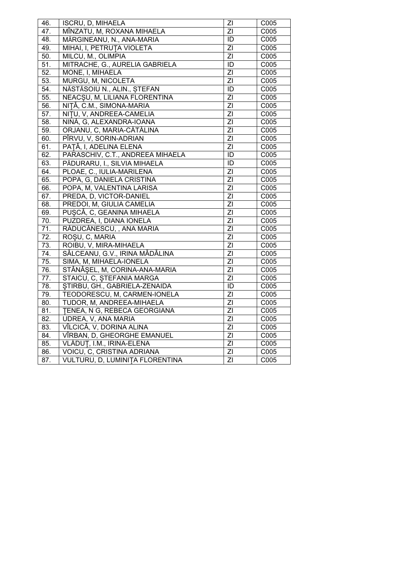| 46.               | ISCRU, D, MIHAELA                | ΖI             | C005              |
|-------------------|----------------------------------|----------------|-------------------|
| 47.               | MÎNZATU, M, ROXANA MIHAELA       | ZI             | C005              |
| 48.               | MĂRGINEANU, N., ANA-MARIA        | ID             | C005              |
| 49.               | MIHAI, I, PETRUTA VIOLETA        | $\overline{Z}$ | C005              |
| 50.               | MILCU, M., OLIMPIA               | $\overline{Z}$ | C005              |
| 51.               | MITRACHE, G., AURELIA GABRIELA   | ID             | C005              |
| 52.               | MONE, I, MIHAELA                 | $\overline{Z}$ | C005              |
| 53.               | MURGU, M, NICOLETA               | $\overline{Z}$ | C005              |
| 54.               | NĂSTĂSOIU N., ALIN., STEFAN      | $\overline{1}$ | C005              |
| 55.               | NEACSU, M, LILIANA FLORENTINA    | ΖI             | C005              |
| 56.               | NIȚĂ, C.M., SIMONA-MARIA         | ΖI             | C005              |
| 57.               | NITU, V, ANDREEA-CAMELIA         | $\overline{Z}$ | C005              |
| 58.               | NINĂ, G, ALEXANDRA-IOANA         | $\overline{Z}$ | C005              |
| 59.               | ORJANU, C, MARIA-CĂTĂLINA        | $\overline{Z}$ | C005              |
| 60.               | PÎRVU, V, SORIN-ADRIAN           | $\overline{Z}$ | C005              |
| 61.               | PAȚĂ, I, ADELINA ELENA           | $\overline{Z}$ | C005              |
| 62.               | PARASCHIV, C.T., ANDREEA MIHAELA | ID             | C005              |
| 63.               | PĂDURARU, I., SILVIA MIHAELA     | ID             | C005              |
| 64.               | PLOAE, C., IULIA-MARILENA        | ΖI             | C005              |
| 65.               | POPA, G, DANIELA CRISTINA        | $\overline{Z}$ | C005              |
| 66.               | POPA, M, VALENTINA LARISA        | $\overline{Z}$ | C005              |
| 67.               | PREDA, D, VICTOR-DANIEL          | $\overline{Z}$ | C005              |
| 68.               | PREDOI, M, GIULIA CAMELIA        | $\overline{Z}$ | C005              |
| 69.               | PUȘCĂ, C, GEANINA MIHAELA        | $\overline{Z}$ | C005              |
| $\overline{70}$ . | PUZDREA, I, DIANA IONELA         | $\overline{Z}$ | C005              |
| $\overline{71}$ . | RĂDUCĂNESCU, , ANA MARIA         | $\overline{Z}$ | C005              |
| 72.               | ROȘU, C, MARIA                   | ΖI             | C005              |
| 73.               | ROIBU, V, MIRA-MIHAELA           | $\overline{Z}$ | C005              |
| $\overline{74}$ . | SĂLCEANU, G.V., IRINA MĂDĂLINA   | $\overline{Z}$ | C005              |
| 75.               | SIMA, M, MIHAELA-IONELA          | $\overline{Z}$ | C005              |
| 76.               | STĂNĂȘEL, M, CORINA-ANA-MARIA    | $\overline{Z}$ | C005              |
| $\overline{77}$ . | STAICU, C, ȘTEFANIA MARGA        | $\overline{Z}$ | C005              |
| 78.               | STIRBU, GH., GABRIELA-ZENAIDA    | $\overline{1}$ | C005              |
| 79.               | TEODORESCU, M, CARMEN-IONELA     | ZI             | C005              |
| 80.               | TUDOR, M, ANDREEA-MIHAELA        | $\overline{Z}$ | $\overline{C005}$ |
| 81.               | TENEA, N G, REBECA GEORGIANA     | $\overline{Z}$ | C005              |
| 82.               | UDREA, V, ANA MARIA              | $\overline{Z}$ | C005              |
| 83.               | VÎLCICĂ, V, DORINA ALINA         | $\overline{Z}$ | C005              |
| 84.               | VÎRBAN, D, GHEORGHE EMANUEL      | $\overline{Z}$ | C005              |
| 85.               | VLĂDUȚ, I.M., IRINA-ELENA        | $\overline{Z}$ | C005              |
| 86.               | VOICU, C, CRISTINA ADRIANA       | $\overline{Z}$ | C005              |
| 87.               | VULTURU, D, LUMINITA FLORENTINA  | $\overline{Z}$ | C005              |
|                   |                                  |                |                   |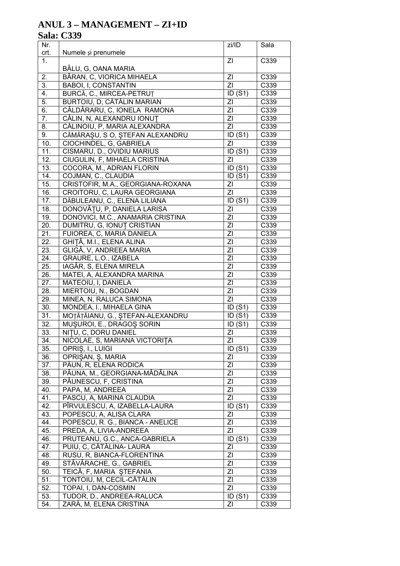# **ANUL 3 - MANAGEMENT - ZI+ID**

# **Sala: C339**

| Nr.<br>crt.       | Numele și prenumele               | zi/ID                | Sala              |
|-------------------|-----------------------------------|----------------------|-------------------|
| 1.                |                                   | ΖI                   | C339              |
|                   | BĂLU, G, OANA MARIA               |                      |                   |
| 2.                | BĂRAN, C, VIORICA MIHAELA         | ΖI                   | C339              |
| 3.                | <b>BABOI, I, CONSTANTIN</b>       | ΖI                   | C339              |
| 4.                | BURCĂ, C., MIRCEA-PETRUȚ          | $\overline{ID}$ (S1) | C339              |
| 5.                | BURTOIU, D. CĂTĂLIN MARIAN        | ΖI                   | $\overline{C}339$ |
| 6.                | CĂLDĂRARU, C, IONELA RAMONA       | ΖI                   | C339              |
| 7.                | CĂLIN, N, ALEXANDRU IONUȚ         | ΖI                   | C339              |
| 8.                | CĂLINOIU, P, MARIA ALEXANDRA      | ΖI                   | C339              |
| 9.                | CĂMĂRAȘU, S O, ȘTEFAN ALEXANDRU   | ID(S1)               | C339              |
| 10.               | CIOCHINDEL, G, GABRIELA           | ΖI                   | C339              |
| 11.               | CISMARU, D., OVIDIU MARIUS        | ID(S1)               | C339              |
| 12.               | CIUGULIN, F, MIHAELA CRISTINA     | ΖI                   | C339              |
| 13.               | COCORA, M., ADRIAN FLORIN         | ID(S1)               | C339              |
| 14.               | COJMAN, C., CLAUDIA               | ID(S1)               | C339              |
| 15.               | CRISTOFIR, M.A., GEORGIANA-ROXANA | ΖI                   | C339              |
| 16.               | CROITORU, C, LAURA GEORGIANA      | ΖI                   | C339              |
| 17.               | DĂBULEANU, C., ELENA LILIANA      | $\overline{ID(}S1)$  | C339              |
| 18.               | DONOVĂȚU, P, DANIELA LARISA       | ΖI                   | C339              |
| 19.               | DONOVICI, M.C., ANAMARIA CRISTINA | ΖI                   | C339              |
| 20.               | DUMITRU, G, IONUȚ CRISTIAN        | ΖI                   | C339              |
| 21.               | FUIOREA, C, MARIA DANIELA         | ΖI                   | C339              |
| 22.               | GHIȚĂ, M.I., ELENA ALINA          | ΖI                   | C339              |
| 23.               | GLIGĂ, V, ANDREEA MARIA           | ΖI                   | C339              |
| 24.               | GRAURE, L.O., IZABELA             | ΖI                   | C339              |
| 25.               | IAGĂR, S, ELENA MIRELA            | ΖI                   | C339              |
| 26.               | MATEI, A, ALEXANDRA MARINA        | ΖI                   | C339              |
| 27.               | MATEOIU, I, DANIELA               | ΖI                   | C339              |
| 28.               | MIERTOIU, N., BOGDAN              | ΖI                   | C339              |
| 29.               | MINEA, N, RALUCA SIMONA           | ΖI                   | C339              |
| 30.               | MONDEA, I., MIHAELA GINA          | ID(S1)               | C339              |
| 31.               | MOȚĂȚĂIANU, G., ȘTEFAN-ALEXANDRU  | ID(S1)               | C339              |
| $\overline{32}$ . | MUŞUROI, E., DRAGOŞ SORIN         | ID(S1)               | C339              |
| $\overline{33}$ . | NITU, C, DORU DANIEL              | ΖI                   | C339              |
| 34.               | NICOLAE, S, MARIANA VICTORITA     | $\overline{Z}$       | C339              |
| 35.               | OPRIȘ, I., LUIGI                  | ID(S1)               | C339              |
| 36.               | OPRIŞAN, Ş, MARIA                 | ΖI                   | C339              |
| 37.               | PĂUN, R, ELENA RODICA             | ΖI                   | C339              |
| 38.               | PĂUNA, M., GEORGIANA-MĂDĂLINA     | ΖI                   | C339              |
| 39.               | PĂUNESCU, F, CRISTINA             | ΖI                   | C339              |
| 40.               | PAPA, M, ANDREEA                  | ΖI                   | C339              |
| 41.               | PASCU, A, MARINA CLAUDIA          | ΖI                   | C339              |
| 42.               |                                   | ID(S1)               |                   |
| 43.               | PÎRVULESCU, A, IZABELLA-LAURA     | ΖI                   | C339              |
|                   | POPESCU, A, ALISA CLARA           |                      | C339              |
| 44.               | POPESCU, R. G., BIANCA - ANELICE  | ΖI                   | C339              |
| 45.               | PREDA, A, LIVIA-ANDREEA           | ΖI                   | C339              |
| 46.               | PRUTEANU, G.C., ANCA-GABRIELA     | ID(S1)               | C339              |
| 47.               | PUIU, C, CĂTĂLINA- LAURA          | ΖI                   | C339              |
| 48.               | RUSU, R, BIANCA-FLORENTINA        | ΖI                   | C339              |
| 49.               | STÁVÁRACHE, G., GABRIEL           | ΖI                   | C339              |
| 50.               | TEICĂ, F, MARIA ȘTEFANIA          | ΖI                   | C339              |
| 51.               | TONTOIU, M, CECIL-CĂTĂLIN         | ΖI                   | C339              |
| 52.               | TOPAI, I, DAN-COSMIN              | ΖI                   | C339              |
| 53.               | TUDOR, D., ANDREEA-RALUCA         | ID(S1)               | C339              |
| 54.               | ZARĂ, M, ELENA CRISTINA           | ΖI                   | C339              |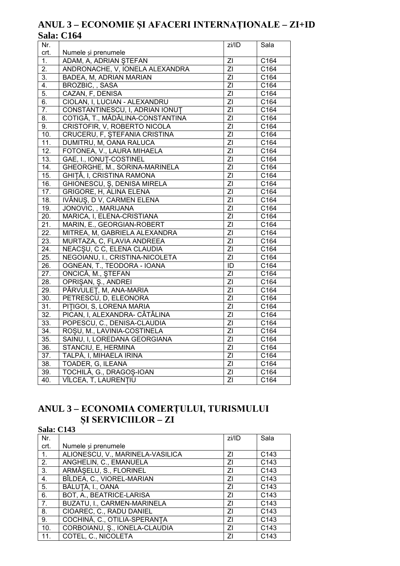# ANUL 3 - ECONOMIE ȘI AFACERI INTERNAȚIONALE - ZI+ID **Sala: C164**

| Nr.               |                                  | zi/ID          | Sala              |
|-------------------|----------------------------------|----------------|-------------------|
| crt.              | Numele și prenumele              |                |                   |
| 1.                | ADAM, A, ADRIAN STEFAN           | $\overline{Z}$ | C164              |
| 2.                | ANDRONACHE, V, IONELA ALEXANDRA  | ZI             | C164              |
| $\overline{3}$ .  | BADEA, M, ADRIAN MARIAN          | $\overline{Z}$ | C164              |
| 4.                | <b>BROZBIC, , SASA</b>           | $\overline{Z}$ | C164              |
| $\overline{5}$ .  | CAZAN, F, DENISA                 | $\overline{Z}$ | C164              |
| 6.                | CIOLAN, I, LUCIAN - ALEXANDRU    | $\overline{Z}$ | C164              |
| 7.                | CONSTANTINESCU, I, ADRIAN IONUT  | ZI             | C164              |
| 8.                | COTIGĂ, T., MĂDĂLINA-CONSTANTINA | $\overline{Z}$ | C164              |
| 9.                | CRISTOFIR, V, ROBERTO NICOLA     | $\overline{Z}$ | C164              |
| 10.               | CRUCERU, F, STEFANIA CRISTINA    | $\overline{Z}$ | C164              |
| 11.               | DUMITRU, M, OANA RALUCA          | $\overline{Z}$ | C164              |
| 12.               | FOTONEA, V., LAURA MIHAELA       | $\overline{Z}$ | C164              |
| 13.               | GAE, I., IONUT-COSTINEL          | $\overline{Z}$ | C164              |
| 14.               | GHEORGHE, M., SORINA-MARINELA    | $\overline{Z}$ | C164              |
| 15.               | GHITĂ, I, CRISTINA RAMONA        | $\overline{Z}$ | C164              |
| 16.               | GHIONESCU, Ş, DENISA MIRELA      | $\overline{Z}$ | C164              |
| $\overline{17}$ . | <b>GRIGORE, H, ALINA ELENA</b>   | $\overline{Z}$ | C164              |
| 18.               | IVĂNUȘ, D V, CARMEN ELENA        | $\overline{Z}$ | C164              |
| $\overline{19}$ . | JONOVIC, , MARIJANA              | $\overline{Z}$ | $\overline{C164}$ |
| 20.               | MARICA, I, ELENA-CRISTIANA       | ZI             | $\overline{C164}$ |
| $\overline{21}$ . | MARIN, E., GEORGIAN-ROBERT       | $\overline{Z}$ | C164              |
| $\overline{22}$ . | MITREA, M, GABRIELA ALEXANDRA    | $\overline{Z}$ | C164              |
| 23.               | MURTAZA, C, FLAVIA ANDREEA       | $\overline{Z}$ | $\overline{C164}$ |
| 24.               | NEACȘU, C C, ELENA CLAUDIA       | $\overline{Z}$ | C164              |
| 25.               | NEGOIANU, I., CRISTINA-NICOLETA  | $\overline{Z}$ | C164              |
| 26.               | OGNEAN, T., TEODORA - IOANA      | ID             | C164              |
| 27.               | ONCICĂ, M., ȘTEFAN               | ZI             | C164              |
| $\overline{28}$ . | OPRIȘAN, Ș., ANDREI              | $\overline{Z}$ | $\overline{C164}$ |
| 29.               | PÂRVULEȚ, M, ANA-MARIA           | $\overline{Z}$ | C164              |
| $\overline{30}$ . | PETRESCU, D, ELEONORA            | $\overline{Z}$ | C164              |
| 31.               | PITIGOI, S, LORENA MARIA         | $\overline{Z}$ | C164              |
| $\overline{32}$ . | PICAN, I, ALEXANDRA- CĂTĂLINA    | $\overline{Z}$ | $\overline{C164}$ |
| 33.               | POPESCU, C., DENISA-CLAUDIA      | ZI             | C164              |
| $\overline{34}$ . | ROȘU, M., LAVINIA-COSTINELA      | $\overline{Z}$ | C164              |
| 35.               | SAINU, I, LOREDANA GEORGIANA     | $\overline{Z}$ | C164              |
| $\overline{36}$ . | STANCIU, E, HERMINA              | $\overline{Z}$ | $\overline{C164}$ |
| 37.               | TALPĂ, I, MIHAELA IRINA          | ΖI             | C164              |
| 38.               | TOADER, G, ILEANA                | $\overline{Z}$ | C164              |
| 39.               | TOCHILĂ, G., DRAGOȘ-IOAN         | ΖI             | C164              |
| 40.               | VÎLCEA, T, LAURENȚIU             | $\overline{Z}$ | C164              |

### ANUL 3 - ECONOMIA COMERȚULUI, TURISMULUI  $$I$  SERVICIILOR –  $ZI$  $Sala \cdot C142$

| ðaia. U14J       |                                  |       |                  |
|------------------|----------------------------------|-------|------------------|
| Nr.              |                                  | zi/ID | Sala             |
| crt.             | Numele și prenumele              |       |                  |
| $\mathbf{1}$ .   | ALIONESCU, V., MARINELA-VASILICA | ΖI    | C <sub>143</sub> |
| $\overline{2}$ . | ANGHELIN, C., EMANUELA           | ΖI    | C <sub>143</sub> |
| 3.               | ARMĂȘELU, S., FLORINEL           | ΖI    | C <sub>143</sub> |
| 4.               | BÎLDEA, C., VIOREL-MARIAN        | ΖI    | C143             |
| 5.               | BĂLUȚĂ, I., OANA                 | ΖI    | C143             |
| 6.               | BOT, A., BEATRICE-LARISA         | ΖI    | C143             |
| 7.               | BUZATU, I., CARMEN-MARINELA      | ΖI    | C <sub>143</sub> |
| 8.               | CIOAREC, C., RADU DANIEL         | ΖI    | C <sub>143</sub> |
| 9.               | COCHINĂ, C., OTILIA-SPERANȚA     | ΖI    | C <sub>143</sub> |
| 10.              | CORBOIANU, Ş., IONELA-CLAUDIA    | ΖI    | C <sub>143</sub> |
| 11.              | COTEL, C., NICOLETA              | ΖI    | C <sub>143</sub> |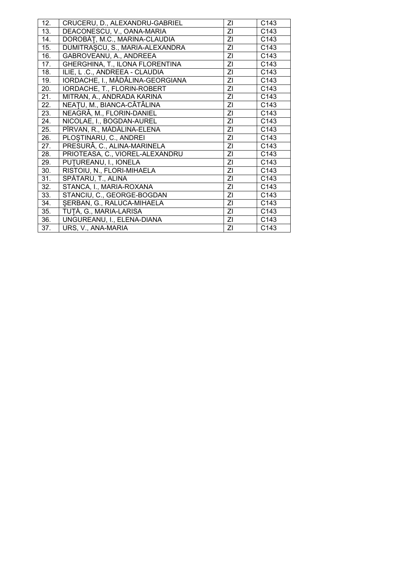| 12. | CRUCERU, D., ALEXANDRU-GABRIEL   | ΖI | C143             |
|-----|----------------------------------|----|------------------|
| 13. | DEACONESCU, V., OANA-MARIA       | ΖI | C143             |
| 14. | DOROBĂȚ, M.C., MARINA-CLAUDIA    | ZI | C <sub>143</sub> |
| 15. | DUMITRAȘCU, S., MARIA-ALEXANDRA  | ΖI | C <sub>143</sub> |
| 16. | GABROVEANU, A., ANDREEA          | ΖI | C <sub>143</sub> |
| 17. | GHERGHINA, T., ILONA FLORENTINA  | ΖI | C143             |
| 18. | ILIE, L.C., ANDREEA - CLAUDIA    | ZI | C143             |
| 19. | IORDACHE, I., MĂDĂLINA-GEORGIANA | ΖI | C143             |
| 20. | IORDACHE, T., FLORIN-ROBERT      | ZI | C143             |
| 21. | MITRAN, A., ANDRADA KARINA       | ΖI | C143             |
| 22. | NEAȚU, M., BIANCA-CĂTĂLINA       | ΖI | C143             |
| 23. | NEAGRĂ, M., FLORIN-DANIEL        | ΖI | C143             |
| 24. | NICOLAE, I., BOGDAN-AUREL        | ΖI | C143             |
| 25. | PÎRVAN, R., MĂDĂLINA-ELENA       | ZI | C143             |
| 26. | PLOSTINARU, C., ANDREI           | ZI | C143             |
| 27. | PRESURĂ, C., ALINA-MARINELA      | ZI | C143             |
| 28. | PRIOTEASA, C., VIOREL-ALEXANDRU  | ΖI | C143             |
| 29. | PUTUREANU, I., IONELA            | ΖI | C143             |
| 30. | RISTOIU, N., FLORI-MIHAELA       | ΖI | C143             |
| 31. | SPĂTARU, T., ALINA               | ΖI | C143             |
| 32. | STANCA, I., MARIA-ROXANA         | ΖI | C143             |
| 33. | STANCIU, C., GEORGE-BOGDAN       | ΖI | C143             |
| 34. | SERBAN, G., RALUCA-MIHAELA       | ΖI | C143             |
| 35. | TUTĂ, G., MARIA-LARISA           | ΖI | C143             |
| 36. | UNGUREANU, I., ELENA-DIANA       | ZI | C143             |
| 37. | URS, V., ANA-MARIA               | ΖI | C143             |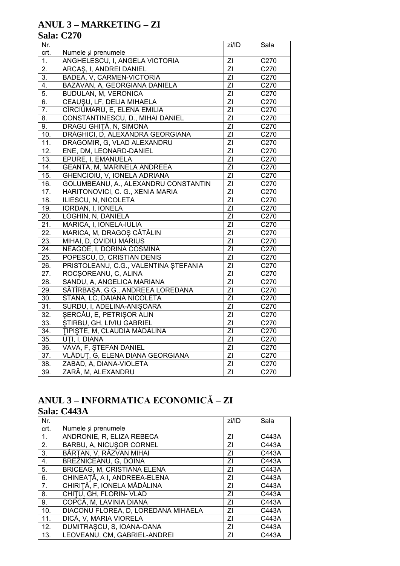# **ANUL 3 - MARKETING - ZI**

# **Sala: C270**

| Nr.               |                                       | zi/ID          | Sala               |
|-------------------|---------------------------------------|----------------|--------------------|
| crt.              | Numele și prenumele                   |                |                    |
| 1.                | ANGHELESCU, I, ANGELA VICTORIA        | ZI             | $\overline{C27}0$  |
| $\overline{2}$ .  | ARCAS, I, ANDREI DANIEL               | $\overline{Z}$ | C270               |
| $\overline{3}$ .  | BADEA, V, CARMEN-VICTORIA             | $\overline{Z}$ | C270               |
| 4.                | BĂZĂVAN, A, GEORGIANA DANIELA         | $\overline{Z}$ | C270               |
| 5.                | <b>BUDULAN, M, VERONICA</b>           | $\overline{Z}$ | C270               |
| $\overline{6}$ .  | CEAUȘU, LF, DELIA MIHAELA             | $\overline{Z}$ | C270               |
| 7.                | CÎRCIUMARU, E, ELENA EMILIA           | $\overline{Z}$ | C270               |
| 8.                | CONSTANTINESCU, D., MIHAI DANIEL      | $\overline{Z}$ | C270               |
| 9.                | DRAGU GHIȚĂ, N, SIMONA                | $\overline{Z}$ | C270               |
| 10.               | DRĂGHICI, D, ALEXANDRA GEORGIANA      | $\overline{Z}$ | C270               |
| 11.               | DRAGOMIR, G, VLAD ALEXANDRU           | $\overline{Z}$ | C270               |
| $\overline{12}$ . | ENE, DM, LEONARD-DANIEL               | $\overline{Z}$ | C270               |
| 13.               | EPURE, I, EMANUELA                    | $\overline{Z}$ | C270               |
| 14.               | GEANTĂ, M, MARINELA ANDREEA           | $\overline{Z}$ | C270               |
| 15.               | GHENCIOIU, V, IONELA ADRIANA          | $\overline{Z}$ | C270               |
| 16.               | GOLUMBEANU, A., ALEXANDRU CONSTANTIN  | $\overline{Z}$ | C270               |
| 17.               | HARITONOVICI, C. G., XENIA MARIA      | $\overline{Z}$ | C270               |
| 18.               | ILIESCU, N, NICOLETA                  | $\overline{Z}$ | C270               |
| 19.               | IORDAN, I, IONELA                     | $\overline{Z}$ | C270               |
| 20.               | LOGHIN, N, DANIELA                    | $\overline{Z}$ | C270               |
| 21.               | MARICA, I, IONELA-IULIA               | $\overline{Z}$ | C270               |
| $\overline{22}$ . | MARICA, M, DRAGOS CĂTĂLIN             | $\overline{Z}$ | C270               |
| 23.               | MIHAI, D, OVIDIU MARIUS               | $\overline{Z}$ | C270               |
| 24.               | NEAGOE, I, DORINA COSMINA             | $\overline{Z}$ | $\overline{C270}$  |
| 25.               | POPESCU, D, CRISTIAN DENIS            | $\overline{Z}$ | C270               |
| $\overline{26}$ . | PRISTOLEANU, C.G., VALENTINA ȘTEFANIA | $\overline{Z}$ | C270               |
| 27.               | ROCȘOREANU, C, ALINA                  | ΖI             | $\overline{C2}$ 70 |
| 28.               | SANDU, A, ANGELICA MARIANA            | $\overline{Z}$ | C270               |
| 29.               | SĂTÎRBAȘA, G.G., ANDREEA LOREDANA     | $\overline{Z}$ | C270               |
| 30.               | STANA, LC, DAIANA NICOLETA            | $\overline{Z}$ | C270               |
| 31.               | SURDU, I, ADELINA-ANIŞOARA            | $\overline{Z}$ | C270               |
| $\overline{32}$ . | SERCĂU, E, PETRIȘOR ALIN              | $\overline{Z}$ | C270               |
| 33.               | <b>STIRBU, GH, LIVIU GABRIEL</b>      | ZI             | C270               |
| 34.               | TIPIȘTE, M, CLAUDIA MĂDĂLINA          | $\overline{Z}$ | C270               |
| 35.               | UTI, I, DIANA                         | $\overline{Z}$ | C270               |
| 36.               | VAVA, F, ȘTEFAN DANIEL                | $\overline{Z}$ | C270               |
| 37.               | VLĂDUȚ, G, ELENA DIANA GEORGIANA      | ZI             | $\overline{C}270$  |
| 38.               | ZABAD, A, DIANA-VIOLETA               | $\overline{Z}$ | C270               |
| 39.               | ZARĂ, M, ALEXANDRU                    | $\overline{Z}$ | C270               |

# ANUL 3 - INFORMATICA ECONOMICĂ - ZI **Sala: C443A**

| Nr.  |                                     | zi/ID | Sala  |
|------|-------------------------------------|-------|-------|
| crt. | Numele și prenumele                 |       |       |
| 1.   | ANDRONIE, R, ELIZA REBECA           | ΖI    | C443A |
| 2.   | BARBU, A, NICUSOR CORNEL            | ΖI    | C443A |
| 3.   | BÂRȚAN, V, RĂZVAN MIHAI             | ΖI    | C443A |
| 4.   | BREZNICEANU, G, DOINA               | ΖI    | C443A |
| 5.   | <b>BRICEAG, M, CRISTIANA ELENA</b>  | ΖI    | C443A |
| 6.   | CHINEAȚĂ, A I, ANDREEA-ELENA        | ZI    | C443A |
| 7.   | CHIRIȚĂ, F, IONELA MĂDĂLINA         | ΖI    | C443A |
| 8.   | CHITU, GH, FLORIN- VLAD             | ZI    | C443A |
| 9.   | COPCĂ, M, LAVINIA DIANA             | ΖI    | C443A |
| 10.  | DIACONU FLOREA, D, LOREDANA MIHAELA | ZI    | C443A |
| 11.  | DICĂ, V, MARIA VIORELA              | ΖI    | C443A |
| 12.  | DUMITRASCU, S, IOANA-OANA           | ZI    | C443A |
| 13.  | LEOVEANU, CM, GABRIEL-ANDREI        | ΖI    | C443A |